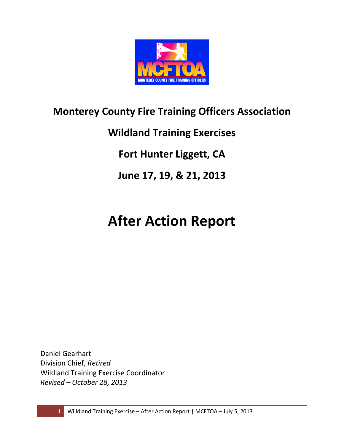

# Monterey County Fire Training Officers Association

Wildland Training Exercises

Fort Hunter Liggett, CA

June 17, 19, & 21, 2013

# After Action Report

Daniel Gearhart Division Chief, Retired Wildland Training Exercise Coordinator Revised – October 28, 2013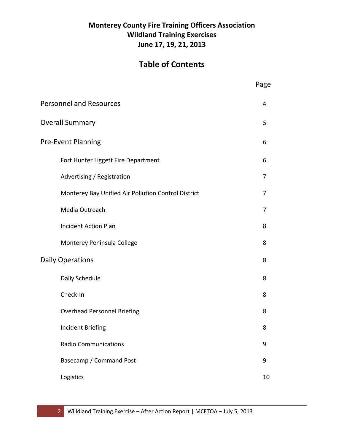# Monterey County Fire Training Officers Association Wildland Training Exercises June 17, 19, 21, 2013

# Table of Contents

|                                                     | Page |
|-----------------------------------------------------|------|
| <b>Personnel and Resources</b>                      | 4    |
| <b>Overall Summary</b>                              | 5    |
| Pre-Event Planning                                  | 6    |
| Fort Hunter Liggett Fire Department                 | 6    |
| Advertising / Registration                          | 7    |
| Monterey Bay Unified Air Pollution Control District | 7    |
| Media Outreach                                      | 7    |
| <b>Incident Action Plan</b>                         | 8    |
| Monterey Peninsula College                          | 8    |
| <b>Daily Operations</b>                             | 8    |
| Daily Schedule                                      | 8    |
| Check-In                                            | 8    |
| <b>Overhead Personnel Briefing</b>                  | 8    |
| Incident Briefing                                   | 8    |
| <b>Radio Communications</b>                         | 9    |
| Basecamp / Command Post                             | 9    |
| Logistics                                           | 10   |
|                                                     |      |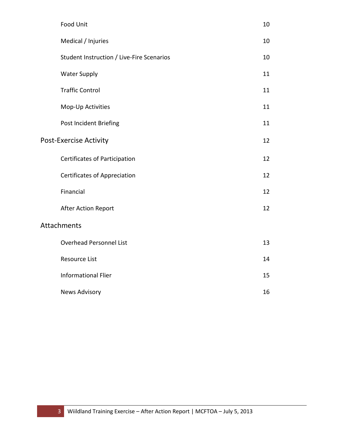| <b>Food Unit</b>                          | 10 |
|-------------------------------------------|----|
| Medical / Injuries                        | 10 |
| Student Instruction / Live-Fire Scenarios | 10 |
| <b>Water Supply</b>                       | 11 |
| <b>Traffic Control</b>                    | 11 |
| Mop-Up Activities                         | 11 |
| Post Incident Briefing                    | 11 |
| <b>Post-Exercise Activity</b>             | 12 |
| <b>Certificates of Participation</b>      | 12 |
| <b>Certificates of Appreciation</b>       | 12 |
| Financial                                 | 12 |
| <b>After Action Report</b>                | 12 |
| Attachments                               |    |
| <b>Overhead Personnel List</b>            | 13 |
| Resource List                             | 14 |
| <b>Informational Flier</b>                | 15 |
| <b>News Advisory</b>                      | 16 |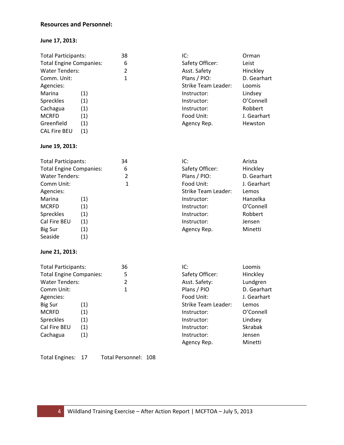#### Resources and Personnel:

#### June 17, 2013:

| <b>Total Participants:</b>     |     | 38 | IC:                 | Orman       |
|--------------------------------|-----|----|---------------------|-------------|
| <b>Total Engine Companies:</b> |     | 6  | Safety Officer:     | Leist       |
| <b>Water Tenders:</b>          |     | 2  | Asst. Safety        | Hinckley    |
| Comm. Unit:                    |     | 1  | Plans / PIO:        | D. Gearhart |
| Agencies:                      |     |    | Strike Team Leader: | Loomis      |
| Marina                         | (1) |    | Instructor:         | Lindsey     |
| <b>Spreckles</b>               | (1) |    | Instructor:         | O'Connell   |
| Cachagua                       | (1) |    | Instructor:         | Robbert     |
| <b>MCRFD</b>                   | (1) |    | Food Unit:          | J. Gearhart |
| Greenfield                     | (1) |    | Agency Rep.         | Hewston     |
| <b>CAL Fire BEU</b>            | (1) |    |                     |             |

#### June 19, 2013:

| <b>Total Participants:</b>     |     | 34 | IC:                        | Arista      |
|--------------------------------|-----|----|----------------------------|-------------|
| <b>Total Engine Companies:</b> |     | 6  | Safety Officer:            | Hinckley    |
| <b>Water Tenders:</b>          |     | 2  | Plans / PIO:               | D. Gearhart |
| Comm Unit:                     |     | 1  | Food Unit:                 | J. Gearhart |
| Agencies:                      |     |    | <b>Strike Team Leader:</b> | Lemos       |
| Marina                         | (1) |    | Instructor:                | Hanzelka    |
| <b>MCRFD</b>                   | (1) |    | Instructor:                | O'Connell   |
| Spreckles                      | (1) |    | Instructor:                | Robbert     |
| Cal Fire BEU                   | (1) |    | Instructor:                | Jensen      |
| <b>Big Sur</b>                 | (1) |    | Agency Rep.                | Minetti     |
| Seaside                        | (1) |    |                            |             |

#### June 21, 2013:

| <b>Total Participants:</b>     |     | 36 | IC:                        | Loomis         |
|--------------------------------|-----|----|----------------------------|----------------|
| <b>Total Engine Companies:</b> |     | 5  | Safety Officer:            | Hinckley       |
| <b>Water Tenders:</b>          |     | 2  | Asst. Safety:              | Lundgren       |
| Comm Unit:                     |     | 1  | Plans / PIO                | D. Gearhart    |
| Agencies:                      |     |    | Food Unit:                 | J. Gearhart    |
| <b>Big Sur</b>                 | (1) |    | <b>Strike Team Leader:</b> | Lemos          |
| <b>MCRFD</b>                   | (1) |    | Instructor:                | O'Connell      |
| Spreckles                      | (1) |    | Instructor:                | Lindsey        |
| Cal Fire BEU                   | (1) |    | Instructor:                | <b>Skrabak</b> |
| Cachagua                       | (1) |    | Instructor:                | Jensen         |
|                                |     |    | Agency Rep.                | Minetti        |

Total Engines: 17 Total Personnel: 108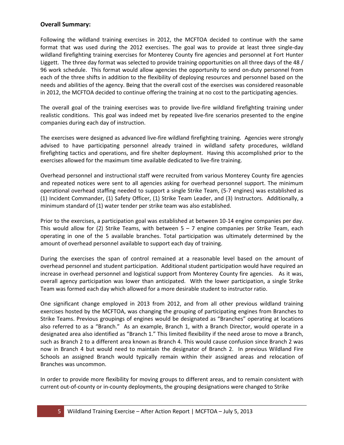#### Overall Summary:

Following the wildland training exercises in 2012, the MCFTOA decided to continue with the same format that was used during the 2012 exercises. The goal was to provide at least three single-day wildland firefighting training exercises for Monterey County fire agencies and personnel at Fort Hunter Liggett. The three day format was selected to provide training opportunities on all three days of the 48 / 96 work schedule. This format would allow agencies the opportunity to send on-duty personnel from each of the three shifts in addition to the flexibility of deploying resources and personnel based on the needs and abilities of the agency. Being that the overall cost of the exercises was considered reasonable in 2012, the MCFTOA decided to continue offering the training at no cost to the participating agencies.

The overall goal of the training exercises was to provide live-fire wildland firefighting training under realistic conditions. This goal was indeed met by repeated live-fire scenarios presented to the engine companies during each day of instruction.

The exercises were designed as advanced live-fire wildland firefighting training. Agencies were strongly advised to have participating personnel already trained in wildland safety procedures, wildland firefighting tactics and operations, and fire shelter deployment. Having this accomplished prior to the exercises allowed for the maximum time available dedicated to live-fire training.

Overhead personnel and instructional staff were recruited from various Monterey County fire agencies and repeated notices were sent to all agencies asking for overhead personnel support. The minimum operational overhead staffing needed to support a single Strike Team, (5-7 engines) was established as (1) Incident Commander, (1) Safety Officer, (1) Strike Team Leader, and (3) Instructors. Additionally, a minimum standard of (1) water tender per strike team was also established.

Prior to the exercises, a participation goal was established at between 10-14 engine companies per day. This would allow for (2) Strike Teams, with between  $5 - 7$  engine companies per Strike Team, each operating in one of the 5 available branches. Total participation was ultimately determined by the amount of overhead personnel available to support each day of training.

During the exercises the span of control remained at a reasonable level based on the amount of overhead personnel and student participation. Additional student participation would have required an increase in overhead personnel and logistical support from Monterey County fire agencies. As it was, overall agency participation was lower than anticipated. With the lower participation, a single Strike Team was formed each day which allowed for a more desirable student to instructor ratio.

One significant change employed in 2013 from 2012, and from all other previous wildland training exercises hosted by the MCFTOA, was changing the grouping of participating engines from Branches to Strike Teams. Previous groupings of engines would be designated as "Branches" operating at locations also referred to as a "Branch." As an example, Branch 1, with a Branch Director, would operate in a designated area also identified as "Branch 1." This limited flexibility if the need arose to move a Branch, such as Branch 2 to a different area known as Branch 4. This would cause confusion since Branch 2 was now in Branch 4 but would need to maintain the designator of Branch 2. In previous Wildland Fire Schools an assigned Branch would typically remain within their assigned areas and relocation of Branches was uncommon.

In order to provide more flexibility for moving groups to different areas, and to remain consistent with current out-of-county or in-county deployments, the grouping designations were changed to Strike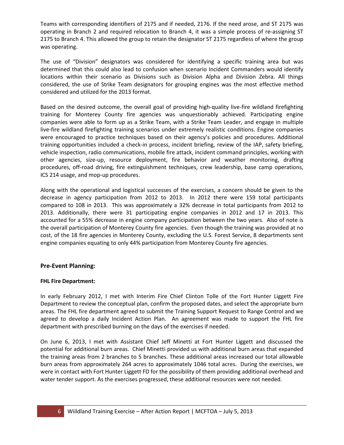Teams with corresponding identifiers of 2175 and if needed, 2176. If the need arose, and ST 2175 was operating in Branch 2 and required relocation to Branch 4, it was a simple process of re-assigning ST 2175 to Branch 4. This allowed the group to retain the designator ST 2175 regardless of where the group was operating.

The use of "Division" designators was considered for identifying a specific training area but was determined that this could also lead to confusion when scenario Incident Commanders would identify locations within their scenario as Divisions such as Division Alpha and Division Zebra. All things considered, the use of Strike Team designators for grouping engines was the most effective method considered and utilized for the 2013 format.

Based on the desired outcome, the overall goal of providing high-quality live-fire wildland firefighting training for Monterey County fire agencies was unquestionably achieved. Participating engine companies were able to form up as a Strike Team, with a Strike Team Leader, and engage in multiple live-fire wildland firefighting training scenarios under extremely realistic conditions. Engine companies were encouraged to practice techniques based on their agency's policies and procedures. Additional training opportunities included a check-in process, incident briefing, review of the IAP, safety briefing, vehicle inspection, radio communications, mobile fire attack, incident command principles, working with other agencies, size-up, resource deployment, fire behavior and weather monitoring, drafting procedures, off-road driving, fire extinguishment techniques, crew leadership, base camp operations, ICS 214 usage, and mop-up procedures.

Along with the operational and logistical successes of the exercises, a concern should be given to the decrease in agency participation from 2012 to 2013. In 2012 there were 159 total participants compared to 108 in 2013. This was approximately a 32% decrease in total participants from 2012 to 2013. Additionally, there were 31 participating engine companies in 2012 and 17 in 2013. This accounted for a 55% decrease in engine company participation between the two years. Also of note is the overall participation of Monterey County fire agencies. Even though the training was provided at no cost, of the 18 fire agencies in Monterey County, excluding the U.S. Forest Service, 8 departments sent engine companies equating to only 44% participation from Monterey County fire agencies.

#### Pre-Event Planning:

#### FHL Fire Department:

In early February 2012, I met with Interim Fire Chief Clinton Tolle of the Fort Hunter Liggett Fire Department to review the conceptual plan, confirm the proposed dates, and select the appropriate burn areas. The FHL fire department agreed to submit the Training Support Request to Range Control and we agreed to develop a daily Incident Action Plan. An agreement was made to support the FHL fire department with prescribed burning on the days of the exercises if needed.

On June 6, 2013, I met with Assistant Chief Jeff Minetti at Fort Hunter Liggett and discussed the potential for additional burn areas. Chief Minetti provided us with additional burn areas that expanded the training areas from 2 branches to 5 branches. These additional areas increased our total allowable burn areas from approximately 264 acres to approximately 1046 total acres. During the exercises, we were in contact with Fort Hunter Liggett FD for the possibility of them providing additional overhead and water tender support. As the exercises progressed, these additional resources were not needed.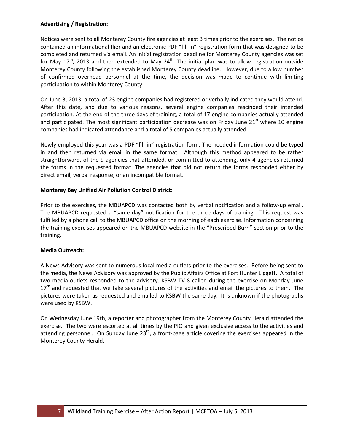#### Advertising / Registration:

Notices were sent to all Monterey County fire agencies at least 3 times prior to the exercises. The notice contained an informational flier and an electronic PDF "fill-in" registration form that was designed to be completed and returned via email. An initial registration deadline for Monterey County agencies was set for May 17<sup>th</sup>, 2013 and then extended to May 24<sup>th</sup>. The initial plan was to allow registration outside Monterey County following the established Monterey County deadline. However, due to a low number of confirmed overhead personnel at the time, the decision was made to continue with limiting participation to within Monterey County.

On June 3, 2013, a total of 23 engine companies had registered or verbally indicated they would attend. After this date, and due to various reasons, several engine companies rescinded their intended participation. At the end of the three days of training, a total of 17 engine companies actually attended and participated. The most significant participation decrease was on Friday June  $21<sup>st</sup>$  where 10 engine companies had indicated attendance and a total of 5 companies actually attended.

Newly employed this year was a PDF "fill-in" registration form. The needed information could be typed in and then returned via email in the same format. Although this method appeared to be rather straightforward, of the 9 agencies that attended, or committed to attending, only 4 agencies returned the forms in the requested format. The agencies that did not return the forms responded either by direct email, verbal response, or an incompatible format.

#### Monterey Bay Unified Air Pollution Control District:

Prior to the exercises, the MBUAPCD was contacted both by verbal notification and a follow-up email. The MBUAPCD requested a "same-day" notification for the three days of training. This request was fulfilled by a phone call to the MBUAPCD office on the morning of each exercise. Information concerning the training exercises appeared on the MBUAPCD website in the "Prescribed Burn" section prior to the training.

#### Media Outreach:

A News Advisory was sent to numerous local media outlets prior to the exercises. Before being sent to the media, the News Advisory was approved by the Public Affairs Office at Fort Hunter Liggett. A total of two media outlets responded to the advisory. KSBW TV-8 called during the exercise on Monday June  $17<sup>th</sup>$  and requested that we take several pictures of the activities and email the pictures to them. The pictures were taken as requested and emailed to KSBW the same day. It is unknown if the photographs were used by KSBW.

On Wednesday June 19th, a reporter and photographer from the Monterey County Herald attended the exercise. The two were escorted at all times by the PIO and given exclusive access to the activities and attending personnel. On Sunday June  $23^{rd}$ , a front-page article covering the exercises appeared in the Monterey County Herald.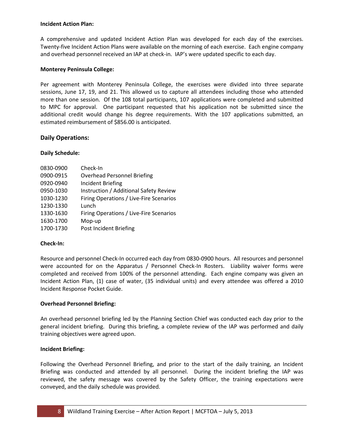#### Incident Action Plan:

A comprehensive and updated Incident Action Plan was developed for each day of the exercises. Twenty-five Incident Action Plans were available on the morning of each exercise. Each engine company and overhead personnel received an IAP at check-in. IAP's were updated specific to each day.

#### Monterey Peninsula College:

Per agreement with Monterey Peninsula College, the exercises were divided into three separate sessions, June 17, 19, and 21. This allowed us to capture all attendees including those who attended more than one session. Of the 108 total participants, 107 applications were completed and submitted to MPC for approval. One participant requested that his application not be submitted since the additional credit would change his degree requirements. With the 107 applications submitted, an estimated reimbursement of \$856.00 is anticipated.

#### Daily Operations:

#### Daily Schedule:

| 0830-0900 | Check-In                                |
|-----------|-----------------------------------------|
| 0900-0915 | <b>Overhead Personnel Briefing</b>      |
| 0920-0940 | <b>Incident Briefing</b>                |
| 0950-1030 | Instruction / Additional Safety Review  |
| 1030-1230 | Firing Operations / Live-Fire Scenarios |
| 1230-1330 | Lunch                                   |
| 1330-1630 | Firing Operations / Live-Fire Scenarios |
| 1630-1700 | Mop-up                                  |
| 1700-1730 | Post Incident Briefing                  |

#### Check-In:

Resource and personnel Check-In occurred each day from 0830-0900 hours. All resources and personnel were accounted for on the Apparatus / Personnel Check-In Rosters. Liability waiver forms were completed and received from 100% of the personnel attending. Each engine company was given an Incident Action Plan, (1) case of water, (35 individual units) and every attendee was offered a 2010 Incident Response Pocket Guide.

#### Overhead Personnel Briefing:

An overhead personnel briefing led by the Planning Section Chief was conducted each day prior to the general incident briefing. During this briefing, a complete review of the IAP was performed and daily training objectives were agreed upon.

#### Incident Briefing:

Following the Overhead Personnel Briefing, and prior to the start of the daily training, an Incident Briefing was conducted and attended by all personnel. During the incident briefing the IAP was reviewed, the safety message was covered by the Safety Officer, the training expectations were conveyed, and the daily schedule was provided.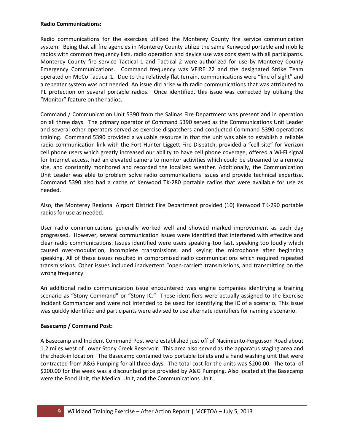#### Radio Communications:

Radio communications for the exercises utilized the Monterey County fire service communication system. Being that all fire agencies in Monterey County utilize the same Kenwood portable and mobile radios with common frequency lists, radio operation and device use was consistent with all participants. Monterey County fire service Tactical 1 and Tactical 2 were authorized for use by Monterey County Emergency Communications. Command frequency was VFIRE 22 and the designated Strike Team operated on MoCo Tactical 1. Due to the relatively flat terrain, communications were "line of sight" and a repeater system was not needed. An issue did arise with radio communications that was attributed to PL protection on several portable radios. Once identified, this issue was corrected by utilizing the "Monitor" feature on the radios.

Command / Communication Unit 5390 from the Salinas Fire Department was present and in operation on all three days. The primary operator of Command 5390 served as the Communications Unit Leader and several other operators served as exercise dispatchers and conducted Command 5390 operations training. Command 5390 provided a valuable resource in that the unit was able to establish a reliable radio communication link with the Fort Hunter Liggett Fire Dispatch, provided a "cell site" for Verizon cell phone users which greatly increased our ability to have cell phone coverage, offered a Wi-Fi signal for Internet access, had an elevated camera to monitor activities which could be streamed to a remote site, and constantly monitored and recorded the localized weather. Additionally, the Communication Unit Leader was able to problem solve radio communications issues and provide technical expertise. Command 5390 also had a cache of Kenwood TK-280 portable radios that were available for use as needed.

Also, the Monterey Regional Airport District Fire Department provided (10) Kenwood TK-290 portable radios for use as needed.

User radio communications generally worked well and showed marked improvement as each day progressed. However, several communication issues were identified that interfered with effective and clear radio communications. Issues identified were users speaking too fast, speaking too loudly which caused over-modulation, incomplete transmissions, and keying the microphone after beginning speaking. All of these issues resulted in compromised radio communications which required repeated transmissions. Other issues included inadvertent "open-carrier" transmissions, and transmitting on the wrong frequency.

An additional radio communication issue encountered was engine companies identifying a training scenario as "Stony Command" or "Stony IC." These identifiers were actually assigned to the Exercise Incident Commander and were not intended to be used for identifying the IC of a scenario. This issue was quickly identified and participants were advised to use alternate identifiers for naming a scenario.

#### Basecamp / Command Post:

A Basecamp and Incident Command Post were established just off of Nacimiento-Fergusson Road about 1.2 miles west of Lower Stony Creek Reservoir. This area also served as the apparatus staging area and the check-in location. The Basecamp contained two portable toilets and a hand washing unit that were contracted from A&G Pumping for all three days. The total cost for the units was \$200.00. The total of \$200.00 for the week was a discounted price provided by A&G Pumping. Also located at the Basecamp were the Food Unit, the Medical Unit, and the Communications Unit.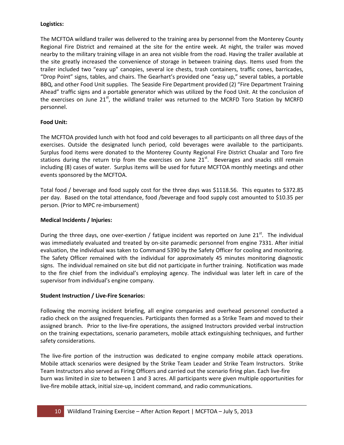#### Logistics:

The MCFTOA wildland trailer was delivered to the training area by personnel from the Monterey County Regional Fire District and remained at the site for the entire week. At night, the trailer was moved nearby to the military training village in an area not visible from the road. Having the trailer available at the site greatly increased the convenience of storage in between training days. Items used from the trailer included two "easy up" canopies, several ice chests, trash containers, traffic cones, barricades, "Drop Point" signs, tables, and chairs. The Gearhart's provided one "easy up," several tables, a portable BBQ, and other Food Unit supplies. The Seaside Fire Department provided (2) "Fire Department Training Ahead" traffic signs and a portable generator which was utilized by the Food Unit. At the conclusion of the exercises on June  $21<sup>st</sup>$ , the wildland trailer was returned to the MCRFD Toro Station by MCRFD personnel.

#### Food Unit:

The MCFTOA provided lunch with hot food and cold beverages to all participants on all three days of the exercises. Outside the designated lunch period, cold beverages were available to the participants. Surplus food items were donated to the Monterey County Regional Fire District Chualar and Toro fire stations during the return trip from the exercises on June  $21<sup>st</sup>$ . Beverages and snacks still remain including (8) cases of water. Surplus items will be used for future MCFTOA monthly meetings and other events sponsored by the MCFTOA.

Total food / beverage and food supply cost for the three days was \$1118.56. This equates to \$372.85 per day. Based on the total attendance, food /beverage and food supply cost amounted to \$10.35 per person. (Prior to MPC re-imbursement)

#### Medical Incidents / Injuries:

During the three days, one over-exertion / fatigue incident was reported on June  $21<sup>st</sup>$ . The individual was immediately evaluated and treated by on-site paramedic personnel from engine 7331. After initial evaluation, the individual was taken to Command 5390 by the Safety Officer for cooling and monitoring. The Safety Officer remained with the individual for approximately 45 minutes monitoring diagnostic signs. The individual remained on site but did not participate in further training. Notification was made to the fire chief from the individual's employing agency. The individual was later left in care of the supervisor from individual's engine company.

#### Student Instruction / Live-Fire Scenarios:

Following the morning incident briefing, all engine companies and overhead personnel conducted a radio check on the assigned frequencies. Participants then formed as a Strike Team and moved to their assigned branch. Prior to the live-fire operations, the assigned Instructors provided verbal instruction on the training expectations, scenario parameters, mobile attack extinguishing techniques, and further safety considerations.

The live-fire portion of the instruction was dedicated to engine company mobile attack operations. Mobile attack scenarios were designed by the Strike Team Leader and Strike Team Instructors. Strike Team Instructors also served as Firing Officers and carried out the scenario firing plan. Each live-fire burn was limited in size to between 1 and 3 acres. All participants were given multiple opportunities for live-fire mobile attack, initial size-up, incident command, and radio communications.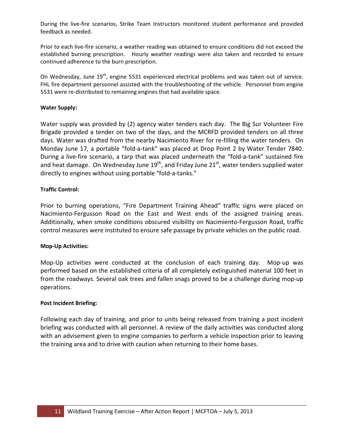During the live-fire scenarios, Strike Team Instructors monitored student performance and provided feedback as needed.

Prior to each live-fire scenario, a weather reading was obtained to ensure conditions did not exceed the established burning prescription. Hourly weather readings were also taken and recorded to ensure continued adherence to the burn prescription.

On Wednesday, June 19<sup>th</sup>, engine 5531 experienced electrical problems and was taken out of service. FHL fire department personnel assisted with the troubleshooting of the vehicle. Personnel from engine 5531 were re-distributed to remaining engines that had available space.

#### Water Supply:

Water supply was provided by (2) agency water tenders each day. The Big Sur Volunteer Fire Brigade provided a tender on two of the days, and the MCRFD provided tenders on all three days. Water was drafted from the nearby Nacimiento River for re-filling the water tenders. On Monday June 17, a portable "fold-a-tank" was placed at Drop Point 2 by Water Tender 7840. During a live-fire scenario, a tarp that was placed underneath the "fold-a-tank" sustained fire and heat damage. On Wednesday June  $19^{th}$ , and Friday June  $21^{st}$ , water tenders supplied water directly to engines without using portable "fold-a-tanks."

#### Traffic Control:

Prior to burning operations, "Fire Department Training Ahead" traffic signs were placed on Nacimiento-Fergusson Road on the East and West ends of the assigned training areas. Additionally, when smoke conditions obscured visibility on Nacimiento-Fergusson Road, traffic control measures were instituted to ensure safe passage by private vehicles on the public road.

#### Mop-Up Activities:

Mop-Up activities were conducted at the conclusion of each training day. Mop-up was performed based on the established criteria of all completely extinguished material 100 feet in from the roadways. Several oak trees and fallen snags proved to be a challenge during mop-up operations.

#### Post Incident Briefing:

Following each day of training, and prior to units being released from training a post incident briefing was conducted with all personnel. A review of the daily activities was conducted along with an advisement given to engine companies to perform a vehicle inspection prior to leaving the training area and to drive with caution when returning to their home bases.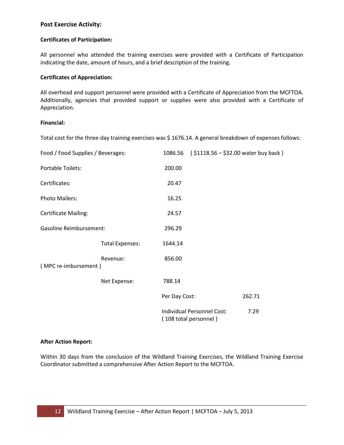#### Post Exercise Activity:

#### Certificates of Participation:

All personnel who attended the training exercises were provided with a Certificate of Participation indicating the date, amount of hours, and a brief description of the training.

#### Certificates of Appreciation:

All overhead and support personnel were provided with a Certificate of Appreciation from the MCFTOA. Additionally, agencies that provided support or supplies were also provided with a Certificate of Appreciation.

#### Financial:

Total cost for the three-day training exercises was \$ 1676.14. A general breakdown of expenses follows:

| Food / Food Supplies / Beverages: |                        | 1086.56       | $( $1118.56 - $32.00$ water buy back)               |        |
|-----------------------------------|------------------------|---------------|-----------------------------------------------------|--------|
| <b>Portable Toilets:</b>          |                        | 200.00        |                                                     |        |
| Certificates:                     |                        | 20.47         |                                                     |        |
| <b>Photo Mailers:</b>             |                        | 16.25         |                                                     |        |
| <b>Certificate Mailing:</b>       |                        | 24.57         |                                                     |        |
| <b>Gasoline Reimbursement:</b>    |                        | 296.29        |                                                     |        |
|                                   | <b>Total Expenses:</b> | 1644.14       |                                                     |        |
| (MPC re-imbursement)              | Revenue:               | 856.00        |                                                     |        |
|                                   | Net Expense:           | 788.14        |                                                     |        |
|                                   |                        | Per Day Cost: |                                                     | 262.71 |
|                                   |                        |               | Individual Personnel Cost:<br>(108 total personnel) | 7.29   |

#### After Action Report:

Within 30 days from the conclusion of the Wildland Training Exercises, the Wildland Training Exercise Coordinator submitted a comprehensive After Action Report to the MCFTOA.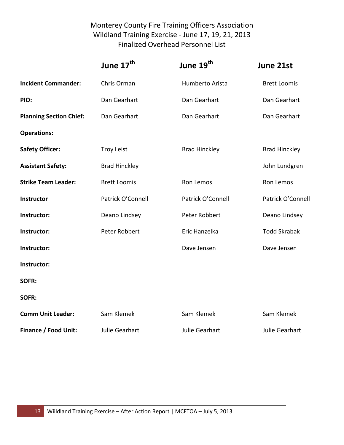# Monterey County Fire Training Officers Association Wildland Training Exercise - June 17, 19, 21, 2013 Finalized Overhead Personnel List

|                                | June 17 <sup>th</sup> | June 19 <sup>th</sup> | June 21st            |
|--------------------------------|-----------------------|-----------------------|----------------------|
| <b>Incident Commander:</b>     | Chris Orman           | Humberto Arista       | <b>Brett Loomis</b>  |
| PIO:                           | Dan Gearhart          | Dan Gearhart          | Dan Gearhart         |
| <b>Planning Section Chief:</b> | Dan Gearhart          | Dan Gearhart          | Dan Gearhart         |
| <b>Operations:</b>             |                       |                       |                      |
| <b>Safety Officer:</b>         | <b>Troy Leist</b>     | <b>Brad Hinckley</b>  | <b>Brad Hinckley</b> |
| <b>Assistant Safety:</b>       | <b>Brad Hinckley</b>  |                       | John Lundgren        |
| <b>Strike Team Leader:</b>     | <b>Brett Loomis</b>   | Ron Lemos             | Ron Lemos            |
| Instructor                     | Patrick O'Connell     | Patrick O'Connell     | Patrick O'Connell    |
| Instructor:                    | Deano Lindsey         | Peter Robbert         | Deano Lindsey        |
| Instructor:                    | Peter Robbert         | Eric Hanzelka         | <b>Todd Skrabak</b>  |
| Instructor:                    |                       | Dave Jensen           | Dave Jensen          |
| Instructor:                    |                       |                       |                      |
| SOFR:                          |                       |                       |                      |
| SOFR:                          |                       |                       |                      |
| <b>Comm Unit Leader:</b>       | Sam Klemek            | Sam Klemek            | Sam Klemek           |
| Finance / Food Unit:           | Julie Gearhart        | Julie Gearhart        | Julie Gearhart       |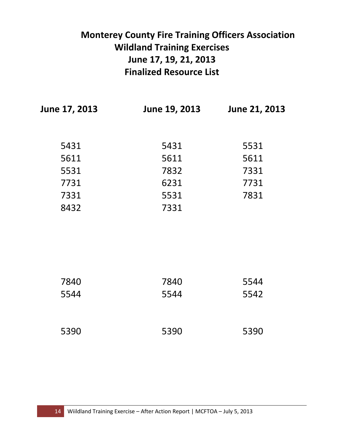|               | <b>Monterey County Fire Training Officers Association</b><br><b>Wildland Training Exercises</b><br>June 17, 19, 21, 2013<br><b>Finalized Resource List</b> |               |
|---------------|------------------------------------------------------------------------------------------------------------------------------------------------------------|---------------|
| June 17, 2013 | June 19, 2013                                                                                                                                              | June 21, 2013 |
| 5431          | 5431                                                                                                                                                       | 5531          |
| 5611          | 5611                                                                                                                                                       | 5611          |
| 5531          | 7832                                                                                                                                                       | 7331          |
| 7731          | 6231                                                                                                                                                       | 7731          |
| 7331          | 5531                                                                                                                                                       | 7831          |
| 8432          | 7331                                                                                                                                                       |               |
|               |                                                                                                                                                            |               |

| 7840 | 7840 | 5544 |
|------|------|------|
| 5544 | 5544 | 5542 |
|      |      |      |

| 5390 | 5390 | 5390 |
|------|------|------|
|      |      |      |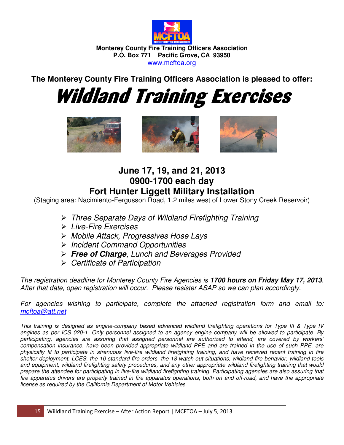

**Monterey County Fire Training Officers Association P.O. Box 771 Pacific Grove, CA 93950**  www.mcftoa.org

**The Monterey County Fire Training Officers Association is pleased to offer:** 

Wildland Training Exercises







**June 17, 19, and 21, 2013 0900-1700 each day Fort Hunter Liggett Military Installation** 

(Staging area: Nacimiento-Fergusson Road, 1.2 miles west of Lower Stony Creek Reservoir)

- Three Separate Days of Wildland Firefighting Training
- Live-Fire Exercises
- Mobile Attack, Progressives Hose Lays
- $\triangleright$  Incident Command Opportunities
- **Free of Charge**, Lunch and Beverages Provided
- $\triangleright$  Certificate of Participation

The registration deadline for Monterey County Fire Agencies is **1700 hours on Friday May 17, 2013**. After that date, open registration will occur. Please resister ASAP so we can plan accordingly.

For agencies wishing to participate, complete the attached registration form and email to: mcftoa@att.net

This training is designed as engine-company based advanced wildland firefighting operations for Type III & Type IV engines as per ICS 020-1. Only personnel assigned to an agency engine company will be allowed to participate. By participating, agencies are assuring that assigned personnel are authorized to attend, are covered by workers' compensation insurance, have been provided appropriate wildland PPE and are trained in the use of such PPE, are physically fit to participate in strenuous live-fire wildland firefighting training, and have received recent training in fire shelter deployment, LCES, the 10 standard fire orders, the 18 watch-out situations, wildland fire behavior, wildland tools and equipment, wildland firefighting safety procedures, and any other appropriate wildland firefighting training that would prepare the attendee for participating in live-fire wildland firefighting training. Participating agencies are also assuring that fire apparatus drivers are properly trained in fire apparatus operations, both on and off-road, and have the appropriate license as required by the California Department of Motor Vehicles.